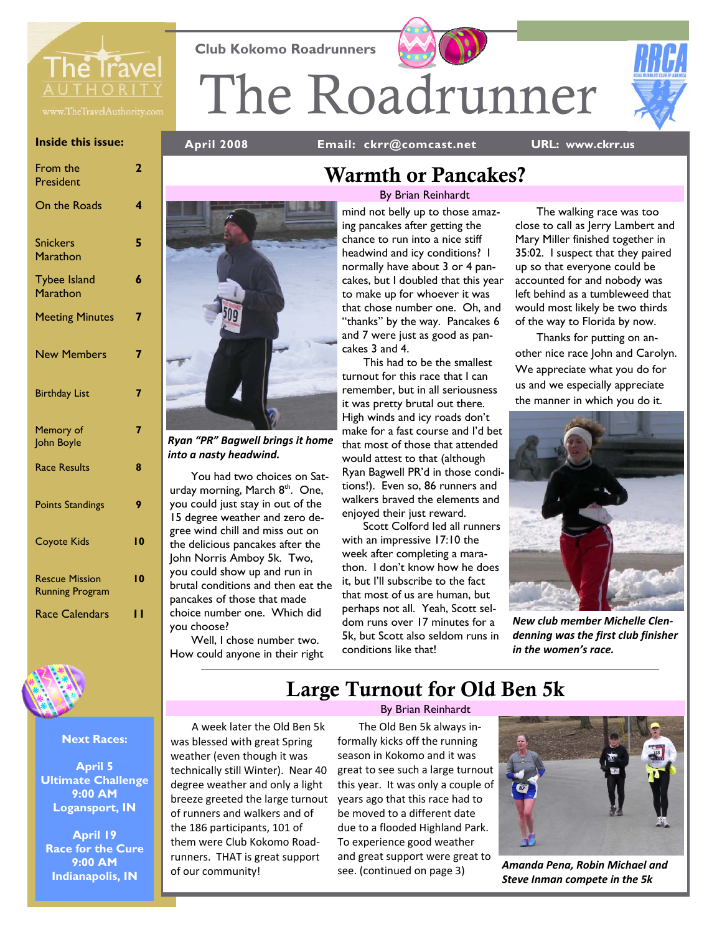

**Inside this issue:** 

| From the<br>President                           | 2   |
|-------------------------------------------------|-----|
| On the Roads                                    | 4   |
| <b>Snickers</b><br>Marathon                     | 5   |
| <b>Tybee Island</b><br>Marathon                 | 6   |
| <b>Meeting Minutes</b>                          | 7   |
| <b>New Members</b>                              | 7   |
| <b>Birthday List</b>                            | 7   |
| Memory of<br>John Boyle                         | 7   |
| <b>Race Results</b>                             | 8   |
| <b>Points Standings</b>                         | 9   |
| <b>Coyote Kids</b>                              | 10  |
| <b>Rescue Mission</b><br><b>Running Program</b> | 10  |
| <b>Race Calendars</b>                           | ' ' |
|                                                 |     |



### **Next Races:**

**April 5 Ultimate Challenge 9:00 AM Logansport, IN** 

**April 19 Race for the Cure 9:00 AM Indianapolis, IN** 

**Club Kokomo Roadrunners** 

**April 2008 Email: ckrr@comcast.net** 

The Roadrunner

**URL: www.ckrr.us** 



*Ryan "PR" Bagwell brings it home into a nasty headwind.*

You had two choices on Saturday morning, March 8<sup>th</sup>. One, you could just stay in out of the 15 degree weather and zero degree wind chill and miss out on the delicious pancakes after the John Norris Amboy 5k. Two, you could show up and run in brutal conditions and then eat the pancakes of those that made choice number one. Which did you choose?

Well, I chose number two. How could anyone in their right

## Warmth or Pancakes?

By Brian Reinhardt

mind not belly up to those amazing pancakes after getting the chance to run into a nice stiff headwind and icy conditions? I normally have about 3 or 4 pancakes, but I doubled that this year to make up for whoever it was that chose number one. Oh, and "thanks" by the way. Pancakes 6 and 7 were just as good as pancakes 3 and 4.

This had to be the smallest turnout for this race that I can remember, but in all seriousness it was pretty brutal out there. High winds and icy roads don't make for a fast course and I'd bet that most of those that attended would attest to that (although Ryan Bagwell PR'd in those conditions!). Even so, 86 runners and walkers braved the elements and enjoyed their just reward.

Scott Colford led all runners with an impressive 17:10 the week after completing a marathon. I don't know how he does it, but I'll subscribe to the fact that most of us are human, but perhaps not all. Yeah, Scott seldom runs over 17 minutes for a 5k, but Scott also seldom runs in conditions like that!

The walking race was too close to call as Jerry Lambert and Mary Miller finished together in 35:02. I suspect that they paired up so that everyone could be accounted for and nobody was left behind as a tumbleweed that would most likely be two thirds of the way to Florida by now.

Thanks for putting on another nice race John and Carolyn. We appreciate what you do for us and we especially appreciate the manner in which you do it.



*New club member Michelle Clen‐ denning was the first club finisher in the women's race.*

## Large Turnout for Old Ben 5k

A week later the Old Ben 5k was blessed with great Spring weather (even though it was technically still Winter). Near 40 degree weather and only a light breeze greeted the large turnout of runners and walkers and of the 186 participants, 101 of them were Club Kokomo Road‐ runners. THAT is great support of our community!

By Brian Reinhardt

The Old Ben 5k always in‐ formally kicks off the running season in Kokomo and it was great to see such a large turnout this year. It was only a couple of years ago that this race had to be moved to a different date due to a flooded Highland Park. To experience good weather and great support were great to see. (continued on page 3)



*Amanda Pena, Robin Michael and Steve Inman compete in the 5k*

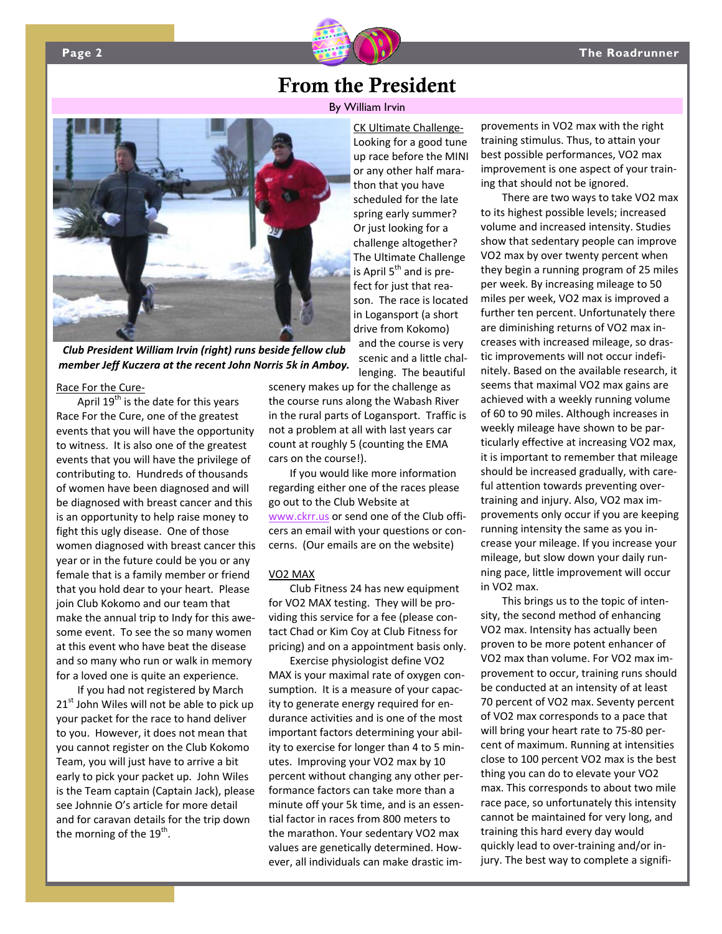

## From the President

By William Irvin



*Club President William Irvin (right) runs beside fellow club member Jeff Kuczera at the recent John Norris 5k in Amboy.*

### Race For the Cure‐

April  $19^{th}$  is the date for this years Race For the Cure, one of the greatest events that you will have the opportunity to witness. It is also one of the greatest events that you will have the privilege of contributing to. Hundreds of thousands of women have been diagnosed and will be diagnosed with breast cancer and this is an opportunity to help raise money to fight this ugly disease. One of those women diagnosed with breast cancer this year or in the future could be you or any female that is a family member or friend that you hold dear to your heart. Please join Club Kokomo and our team that make the annual trip to Indy for this awe‐ some event. To see the so many women at this event who have beat the disease and so many who run or walk in memory for a loved one is quite an experience.

If you had not registered by March  $21<sup>st</sup>$  John Wiles will not be able to pick up your packet for the race to hand deliver to you. However, it does not mean that you cannot register on the Club Kokomo Team, you will just have to arrive a bit early to pick your packet up. John Wiles is the Team captain (Captain Jack), please see Johnnie O's article for more detail and for caravan details for the trip down the morning of the  $19<sup>th</sup>$ .

CK Ultimate Challenge‐ Looking for a good tune up race before the MINI or any other half mara‐ thon that you have scheduled for the late spring early summer? Or just looking for a challenge altogether? The Ultimate Challenge is April  $5<sup>th</sup>$  and is prefect for just that rea‐ son. The race is located in Logansport (a short drive from Kokomo) and the course is very scenic and a little chal‐ lenging. The beautiful

scenery makes up for the challenge as the course runs along the Wabash River in the rural parts of Logansport. Traffic is not a problem at all with last years car count at roughly 5 (counting the EMA cars on the course!).

If you would like more information regarding either one of the races please go out to the Club Website at www.ckrr.us or send one of the Club offi‐ cers an email with your questions or con‐ cerns. (Our emails are on the website)

### VO2 MAX

Club Fitness 24 has new equipment for VO2 MAX testing. They will be pro‐ viding this service for a fee (please con‐ tact Chad or Kim Coy at Club Fitness for pricing) and on a appointment basis only.

Exercise physiologist define VO2 MAX is your maximal rate of oxygen con‐ sumption. It is a measure of your capac‐ ity to generate energy required for en‐ durance activities and is one of the most important factors determining your abil‐ ity to exercise for longer than 4 to 5 min‐ utes. Improving your VO2 max by 10 percent without changing any other per‐ formance factors can take more than a minute off your 5k time, and is an essen‐ tial factor in races from 800 meters to the marathon. Your sedentary VO2 max values are genetically determined. How‐ ever, all individuals can make drastic im‐

provements in VO2 max with the right training stimulus. Thus, to attain your best possible performances, VO2 max improvement is one aspect of your train‐ ing that should not be ignored.

There are two ways to take VO2 max to its highest possible levels; increased volume and increased intensity. Studies show that sedentary people can improve VO2 max by over twenty percent when they begin a running program of 25 miles per week. By increasing mileage to 50 miles per week, VO2 max is improved a further ten percent. Unfortunately there are diminishing returns of VO2 max in‐ creases with increased mileage, so dras‐ tic improvements will not occur indefi‐ nitely. Based on the available research, it seems that maximal VO2 max gains are achieved with a weekly running volume of 60 to 90 miles. Although increases in weekly mileage have shown to be par‐ ticularly effective at increasing VO2 max, it is important to remember that mileage should be increased gradually, with care‐ ful attention towards preventing over‐ training and injury. Also, VO2 max im‐ provements only occur if you are keeping running intensity the same as you in‐ crease your mileage. If you increase your mileage, but slow down your daily run‐ ning pace, little improvement will occur in VO2 max.

This brings us to the topic of inten‐ sity, the second method of enhancing VO2 max. Intensity has actually been proven to be more potent enhancer of VO2 max than volume. For VO2 max im‐ provement to occur, training runs should be conducted at an intensity of at least 70 percent of VO2 max. Seventy percent of VO2 max corresponds to a pace that will bring your heart rate to 75‐80 per‐ cent of maximum. Running at intensities close to 100 percent VO2 max is the best thing you can do to elevate your VO2 max. This corresponds to about two mile race pace, so unfortunately this intensity cannot be maintained for very long, and training this hard every day would quickly lead to over‐training and/or in‐ jury. The best way to complete a signifi‐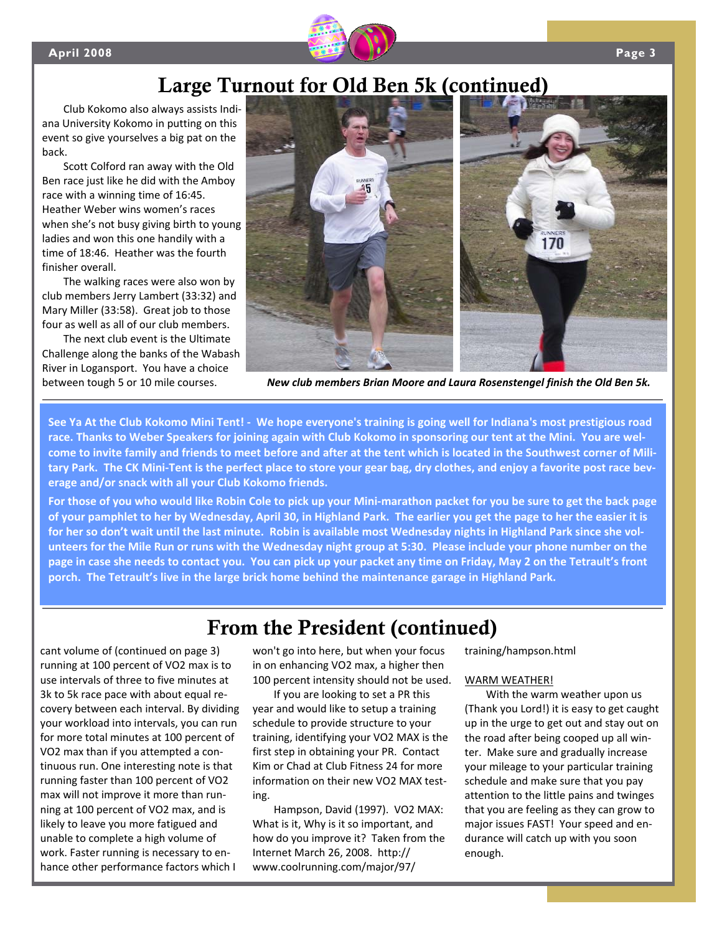

# Large Turnout for Old Ben 5k (continued)

Club Kokomo also always assists Indi‐ ana University Kokomo in putting on this event so give yourselves a big pat on the back.

Scott Colford ran away with the Old Ben race just like he did with the Amboy race with a winning time of 16:45. Heather Weber wins women's races when she's not busy giving birth to young ladies and won this one handily with a time of 18:46. Heather was the fourth finisher overall.

The walking races were also won by club members Jerry Lambert (33:32) and Mary Miller (33:58). Great job to those four as well as all of our club members.

The next club event is the Ultimate Challenge along the banks of the Wabash River in Logansport. You have a choice between tough 5 or 10 mile courses.



*New club members Brian Moore and Laura Rosenstengel finish the Old Ben 5k.*

See Ya At the Club Kokomo Mini Tent! - We hope everyone's training is going well for Indiana's most prestigious road race. Thanks to Weber Speakers for joining again with Club Kokomo in sponsoring our tent at the Mini. You are welcome to invite family and friends to meet before and after at the tent which is located in the Southwest corner of Military Park. The CK Mini-Tent is the perfect place to store your gear bag, dry clothes, and enjoy a favorite post race bev**erage and/or snack with all your Club Kokomo friends.** 

For those of you who would like Robin Cole to pick up your Mini-marathon packet for you be sure to get the back page of your pamphlet to her by Wednesday, April 30, in Highland Park. The earlier you get the page to her the easier it is for her so don't wait until the last minute. Robin is available most Wednesday nights in Highland Park since she volunteers for the Mile Run or runs with the Wednesday night group at 5:30. Please include your phone number on the page in case she needs to contact you. You can pick up your packet any time on Friday, May 2 on the Tetrault's front **porch. The Tetrault's live in the large brick home behind the maintenance garage in Highland Park.**

## From the President (continued)

cant volume of (continued on page 3) running at 100 percent of VO2 max is to use intervals of three to five minutes at 3k to 5k race pace with about equal re‐ covery between each interval. By dividing your workload into intervals, you can run for more total minutes at 100 percent of VO2 max than if you attempted a con‐ tinuous run. One interesting note is that running faster than 100 percent of VO2 max will not improve it more than run‐ ning at 100 percent of VO2 max, and is likely to leave you more fatigued and unable to complete a high volume of work. Faster running is necessary to en‐ hance other performance factors which I

won't go into here, but when your focus in on enhancing VO2 max, a higher then 100 percent intensity should not be used.

If you are looking to set a PR this year and would like to setup a training schedule to provide structure to your training, identifying your VO2 MAX is the first step in obtaining your PR. Contact Kim or Chad at Club Fitness 24 for more information on their new VO2 MAX test‐ ing.

Hampson, David (1997). VO2 MAX: What is it, Why is it so important, and how do you improve it? Taken from the Internet March 26, 2008. http:// www.coolrunning.com/major/97/

training/hampson.html

### WARM WEATHER!

With the warm weather upon us (Thank you Lord!) it is easy to get caught up in the urge to get out and stay out on the road after being cooped up all win‐ ter. Make sure and gradually increase your mileage to your particular training schedule and make sure that you pay attention to the little pains and twinges that you are feeling as they can grow to major issues FAST! Your speed and en‐ durance will catch up with you soon enough.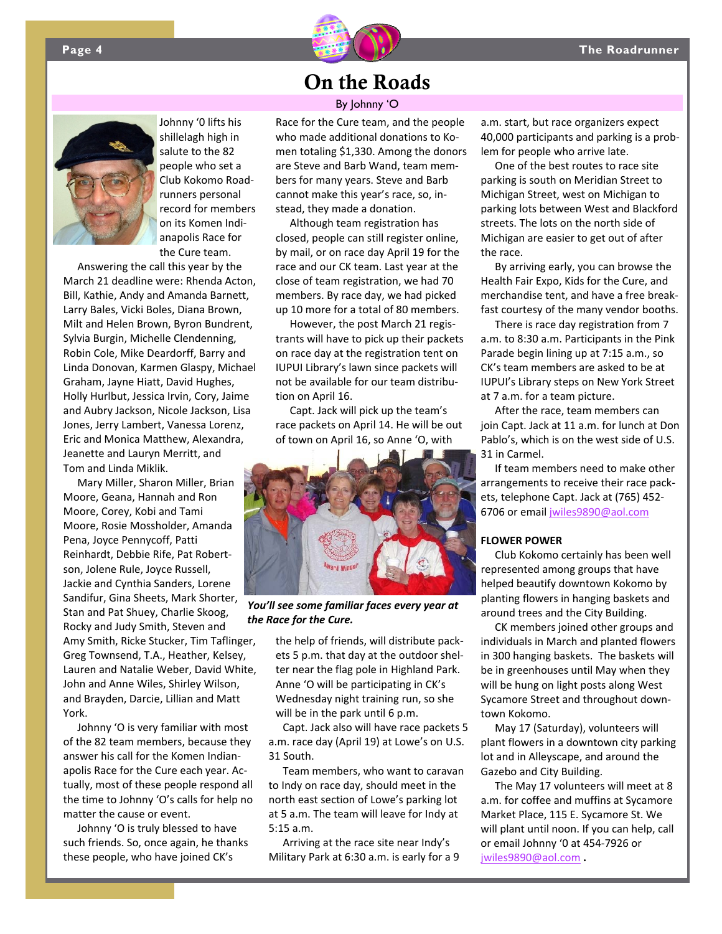



Johnny '0 lifts his shillelagh high in salute to the 82 people who set a Club Kokomo Road‐ runners personal record for members on its Komen Indi‐ anapolis Race for the Cure team.

Answering the call this year by the March 21 deadline were: Rhenda Acton, Bill, Kathie, Andy and Amanda Barnett, Larry Bales, Vicki Boles, Diana Brown, Milt and Helen Brown, Byron Bundrent, Sylvia Burgin, Michelle Clendenning, Robin Cole, Mike Deardorff, Barry and Linda Donovan, Karmen Glaspy, Michael Graham, Jayne Hiatt, David Hughes, Holly Hurlbut, Jessica Irvin, Cory, Jaime and Aubry Jackson, Nicole Jackson, Lisa Jones, Jerry Lambert, Vanessa Lorenz, Eric and Monica Matthew, Alexandra, Jeanette and Lauryn Merritt, and Tom and Linda Miklik.

Mary Miller, Sharon Miller, Brian Moore, Geana, Hannah and Ron Moore, Corey, Kobi and Tami Moore, Rosie Mossholder, Amanda Pena, Joyce Pennycoff, Patti Reinhardt, Debbie Rife, Pat Robert‐ son, Jolene Rule, Joyce Russell, Jackie and Cynthia Sanders, Lorene Sandifur, Gina Sheets, Mark Shorter, Stan and Pat Shuey, Charlie Skoog, Rocky and Judy Smith, Steven and Amy Smith, Ricke Stucker, Tim Taflinger, Greg Townsend, T.A., Heather, Kelsey, Lauren and Natalie Weber, David White, John and Anne Wiles, Shirley Wilson, and Brayden, Darcie, Lillian and Matt York.

Johnny 'O is very familiar with most of the 82 team members, because they answer his call for the Komen Indian‐ apolis Race for the Cure each year. Ac‐ tually, most of these people respond all the time to Johnny 'O's calls for help no matter the cause or event.

Johnny 'O is truly blessed to have such friends. So, once again, he thanks these people, who have joined CK's

## On the Roads

### By Johnny 'O

Race for the Cure team, and the people who made additional donations to Komen totaling \$1,330. Among the donors are Steve and Barb Wand, team mem‐ bers for many years. Steve and Barb cannot make this year's race, so, in‐ stead, they made a donation.

Although team registration has closed, people can still register online, by mail, or on race day April 19 for the race and our CK team. Last year at the close of team registration, we had 70 members. By race day, we had picked up 10 more for a total of 80 members.

However, the post March 21 regis‐ trants will have to pick up their packets on race day at the registration tent on IUPUI Library's lawn since packets will not be available for our team distribu‐ tion on April 16.

Capt. Jack will pick up the team's race packets on April 14. He will be out of town on April 16, so Anne 'O, with



*You'll see some familiar faces every year at the Race for the Cure.*

the help of friends, will distribute pack‐ ets 5 p.m. that day at the outdoor shel‐ ter near the flag pole in Highland Park. Anne 'O will be participating in CK's Wednesday night training run, so she will be in the park until 6 p.m.

Capt. Jack also will have race packets 5 a.m. race day (April 19) at Lowe's on U.S. 31 South.

Team members, who want to caravan to Indy on race day, should meet in the north east section of Lowe's parking lot at 5 a.m. The team will leave for Indy at 5:15 a.m.

Arriving at the race site near Indy's Military Park at 6:30 a.m. is early for a 9

a.m. start, but race organizers expect 40,000 participants and parking is a prob‐ lem for people who arrive late.

One of the best routes to race site parking is south on Meridian Street to Michigan Street, west on Michigan to parking lots between West and Blackford streets. The lots on the north side of Michigan are easier to get out of after the race.

By arriving early, you can browse the Health Fair Expo, Kids for the Cure, and merchandise tent, and have a free break‐ fast courtesy of the many vendor booths.

There is race day registration from 7 a.m. to 8:30 a.m. Participants in the Pink Parade begin lining up at 7:15 a.m., so CK's team members are asked to be at IUPUI's Library steps on New York Street at 7 a.m. for a team picture.

After the race, team members can join Capt. Jack at 11 a.m. for lunch at Don Pablo's, which is on the west side of U.S. 31 in Carmel.

If team members need to make other arrangements to receive their race pack‐ ets, telephone Capt. Jack at (765) 452‐ 6706 or email jwiles9890@aol.com

### **FLOWER POWER**

Club Kokomo certainly has been well represented among groups that have helped beautify downtown Kokomo by planting flowers in hanging baskets and around trees and the City Building.

CK members joined other groups and individuals in March and planted flowers in 300 hanging baskets. The baskets will be in greenhouses until May when they will be hung on light posts along West Sycamore Street and throughout down‐ town Kokomo.

May 17 (Saturday), volunteers will plant flowers in a downtown city parking lot and in Alleyscape, and around the Gazebo and City Building.

The May 17 volunteers will meet at 8 a.m. for coffee and muffins at Sycamore Market Place, 115 E. Sycamore St. We will plant until noon. If you can help, call or email Johnny '0 at 454‐7926 or jwiles9890@aol.com **.**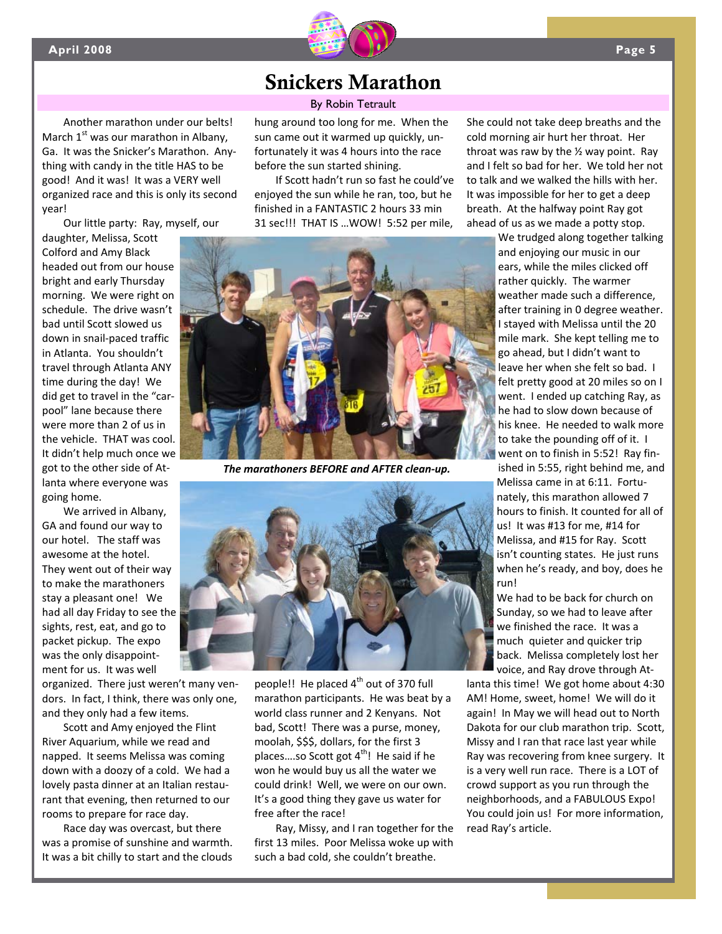

## Snickers Marathon

### By Robin Tetrault

Another marathon under our belts! March  $1<sup>st</sup>$  was our marathon in Albany, Ga. It was the Snicker's Marathon. Any‐ thing with candy in the title HAS to be good! And it was! It was a VERY well organized race and this is only its second year!

Our little party: Ray, myself, our

daughter, Melissa, Scott Colford and Amy Black headed out from our house bright and early Thursday morning. We were right on schedule. The drive wasn't bad until Scott slowed us down in snail‐paced traffic in Atlanta. You shouldn't travel through Atlanta ANY time during the day! We did get to travel in the "car‐ pool" lane because there were more than 2 of us in the vehicle. THAT was cool. It didn't help much once we got to the other side of At‐ lanta where everyone was going home.

We arrived in Albany, GA and found our way to our hotel. The staff was awesome at the hotel. They went out of their way to make the marathoners stay a pleasant one! We had all day Friday to see the sights, rest, eat, and go to packet pickup. The expo was the only disappointment for us. It was well

organized. There just weren't many ven‐ dors. In fact, I think, there was only one, and they only had a few items.

Scott and Amy enjoyed the Flint River Aquarium, while we read and napped. It seems Melissa was coming down with a doozy of a cold. We had a lovely pasta dinner at an Italian restau‐ rant that evening, then returned to our rooms to prepare for race day.

Race day was overcast, but there was a promise of sunshine and warmth. It was a bit chilly to start and the clouds hung around too long for me. When the sun came out it warmed up quickly, un‐ fortunately it was 4 hours into the race before the sun started shining.

If Scott hadn't run so fast he could've enjoyed the sun while he ran, too, but he finished in a FANTASTIC 2 hours 33 min 31 sec!!! THAT IS …WOW! 5:52 per mile,



*The marathoners BEFORE and AFTER clean‐up.*



people!! He placed  $4^{th}$  out of 370 full marathon participants. He was beat by a world class runner and 2 Kenyans. Not bad, Scott! There was a purse, money, moolah, \$\$\$, dollars, for the first 3 places....so Scott got  $4^{th}$ ! He said if he won he would buy us all the water we could drink! Well, we were on our own. It's a good thing they gave us water for free after the race!

Ray, Missy, and I ran together for the first 13 miles. Poor Melissa woke up with such a bad cold, she couldn't breathe.

She could not take deep breaths and the cold morning air hurt her throat. Her throat was raw by the  $\frac{1}{2}$  way point. Ray and I felt so bad for her. We told her not to talk and we walked the hills with her. It was impossible for her to get a deep breath. At the halfway point Ray got ahead of us as we made a potty stop.

> We trudged along together talking and enjoying our music in our ears, while the miles clicked off rather quickly. The warmer weather made such a difference, after training in 0 degree weather. I stayed with Melissa until the 20 mile mark. She kept telling me to go ahead, but I didn't want to leave her when she felt so bad. I felt pretty good at 20 miles so on I went. I ended up catching Ray, as he had to slow down because of his knee. He needed to walk more to take the pounding off of it. I went on to finish in 5:52! Ray fin‐ ished in 5:55, right behind me, and Melissa came in at 6:11. Fortu‐ nately, this marathon allowed 7 hours to finish. It counted for all of us! It was #13 for me, #14 for Melissa, and #15 for Ray. Scott isn't counting states. He just runs when he's ready, and boy, does he run!

We had to be back for church on Sunday, so we had to leave after we finished the race. It was a much quieter and quicker trip back. Melissa completely lost her voice, and Ray drove through At‐

lanta this time! We got home about 4:30 AM! Home, sweet, home! We will do it again! In May we will head out to North Dakota for our club marathon trip. Scott, Missy and I ran that race last year while Ray was recovering from knee surgery. It is a very well run race. There is a LOT of crowd support as you run through the neighborhoods, and a FABULOUS Expo! You could join us! For more information, read Ray's article.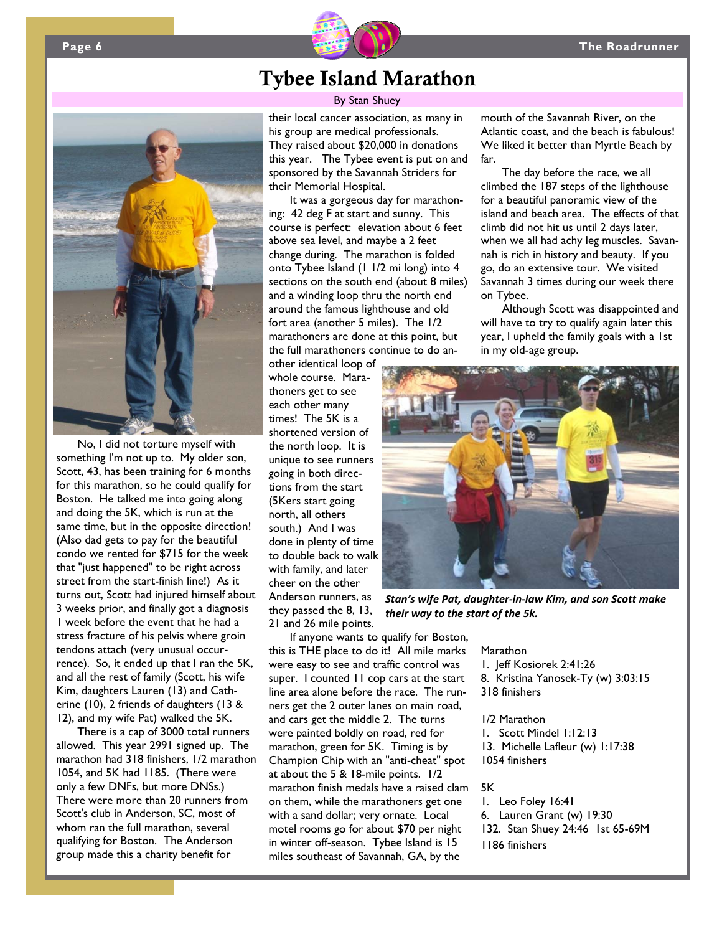mouth of the Savannah River, on the Atlantic coast, and the beach is fabulous! We liked it better than Myrtle Beach by

The day before the race, we all climbed the 187 steps of the lighthouse for a beautiful panoramic view of the island and beach area. The effects of that climb did not hit us until 2 days later, when we all had achy leg muscles. Savannah is rich in history and beauty. If you go, do an extensive tour. We visited Savannah 3 times during our week there

Although Scott was disappointed and will have to try to qualify again later this year, I upheld the family goals with a 1st

far.

on Tybee.



## Tybee Island Marathon

### By Stan Shuey

their local cancer association, as many in his group are medical professionals. They raised about \$20,000 in donations this year. The Tybee event is put on and sponsored by the Savannah Striders for their Memorial Hospital.

It was a gorgeous day for marathoning: 42 deg F at start and sunny. This course is perfect: elevation about 6 feet above sea level, and maybe a 2 feet change during. The marathon is folded onto Tybee Island (1 1/2 mi long) into 4 sections on the south end (about 8 miles) and a winding loop thru the north end around the famous lighthouse and old fort area (another 5 miles). The 1/2 marathoners are done at this point, but the full marathoners continue to do an-

other identical loop of whole course. Marathoners get to see each other many times! The 5K is a shortened version of the north loop. It is unique to see runners going in both directions from the start (5Kers start going north, all others south.) And I was done in plenty of time to double back to walk with family, and later cheer on the other Anderson runners, as they passed the 8, 13, 21 and 26 mile points.

in my old-age group.

*Stan's wife Pat, daughter‐in‐law Kim, and son Scott make their way to the start of the 5k.*

If anyone wants to qualify for Boston, this is THE place to do it! All mile marks were easy to see and traffic control was super. I counted 11 cop cars at the start line area alone before the race. The runners get the 2 outer lanes on main road, and cars get the middle 2. The turns were painted boldly on road, red for marathon, green for 5K. Timing is by Champion Chip with an "anti-cheat" spot at about the 5 & 18-mile points. 1/2 marathon finish medals have a raised clam on them, while the marathoners get one with a sand dollar; very ornate. Local motel rooms go for about \$70 per night in winter off-season. Tybee Island is 15 miles southeast of Savannah, GA, by the

Marathon

1. Jeff Kosiorek 2:41:26

- 8. Kristina Yanosek-Ty (w) 3:03:15
- 318 finishers

1/2 Marathon

1. Scott Mindel 1:12:13 13. Michelle Lafleur (w) 1:17:38 1054 finishers

### 5K

1. Leo Foley 16:41 6. Lauren Grant (w) 19:30 132. Stan Shuey 24:46 1st 65-69M 1186 finishers



No, I did not torture myself with something I'm not up to. My older son, Scott, 43, has been training for 6 months for this marathon, so he could qualify for Boston. He talked me into going along and doing the 5K, which is run at the same time, but in the opposite direction! (Also dad gets to pay for the beautiful condo we rented for \$715 for the week that "just happened" to be right across street from the start-finish line!) As it turns out, Scott had injured himself about 3 weeks prior, and finally got a diagnosis 1 week before the event that he had a stress fracture of his pelvis where groin tendons attach (very unusual occurrence). So, it ended up that I ran the 5K, and all the rest of family (Scott, his wife Kim, daughters Lauren (13) and Catherine (10), 2 friends of daughters (13 & 12), and my wife Pat) walked the 5K.

There is a cap of 3000 total runners allowed. This year 2991 signed up. The marathon had 318 finishers, 1/2 marathon 1054, and 5K had 1185. (There were only a few DNFs, but more DNSs.) There were more than 20 runners from Scott's club in Anderson, SC, most of whom ran the full marathon, several qualifying for Boston. The Anderson group made this a charity benefit for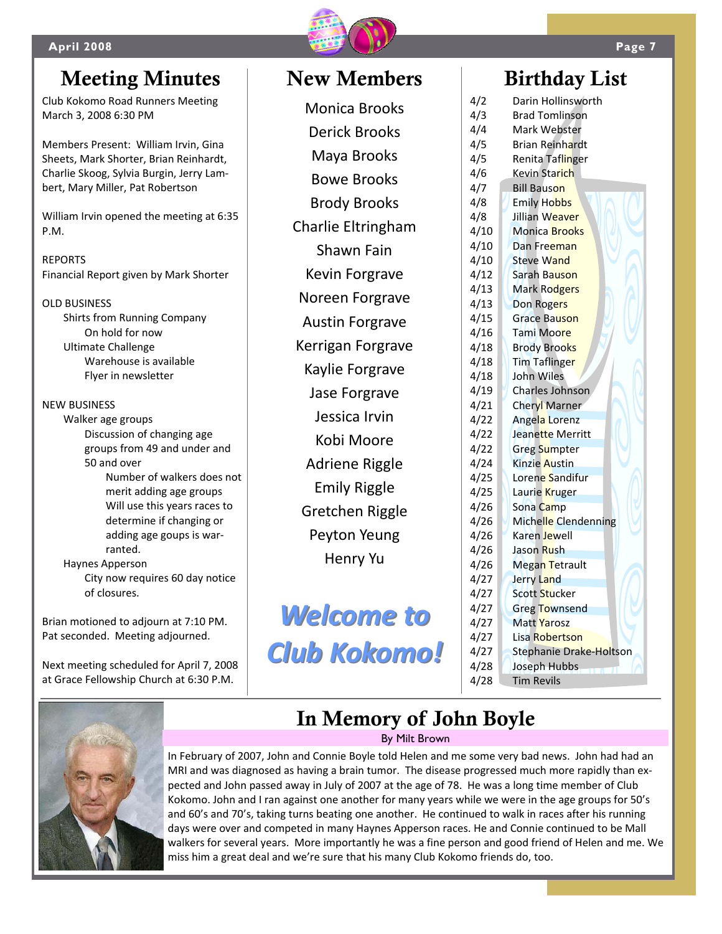

# Meeting Minutes | New Members | Birthday List

Club Kokomo Road Runners Meeting March 3, 2008 6:30 PM

Members Present: William Irvin, Gina Sheets, Mark Shorter, Brian Reinhardt, Charlie Skoog, Sylvia Burgin, Jerry Lam‐ bert, Mary Miller, Pat Robertson

William Irvin opened the meeting at 6:35 P.M.

REPORTS Financial Report given by Mark Shorter

OLD BUSINESS Shirts from Running Company On hold for now Ultimate Challenge Warehouse is available Flyer in newsletter

NEW BUSINESS

Walker age groups Discussion of changing age groups from 49 and under and 50 and over Number of walkers does not merit adding age groups Will use this years races to determine if changing or adding age goups is war‐

Haynes Apperson City now requires 60 day notice of closures.

Brian motioned to adjourn at 7:10 PM. Pat seconded. Meeting adjourned.

ranted.

Next meeting scheduled for April 7, 2008 at Grace Fellowship Church at 6:30 P.M.

# Monica Brooks Derick Brooks Maya Brooks Bowe Brooks Brody Brooks Charlie Eltringham Shawn Fain Kevin Forgrave Noreen Forgrave Austin Forgrave Kerrigan Forgrave Kaylie Forgrave Jase Forgrave Jessica Irvin Kobi Moore Adriene Riggle Emily Riggle Gretchen Riggle Peyton Yeung Henry Yu

*Welcome Welcome to Club Kokomo! Kokomo!*

4/2 Darin Hollinsworth 4/3 Brad Tomlinson 4/4 Mark Webster 4/5 Brian Reinhardt 4/5 Renita Taflinger 4/6 Kevin Starich 4/7 Bill Bauson 4/8 **Emily Hobbs** 4/8 Jillian Weaver 4/10 Monica Brooks 4/10 Dan Freeman 4/10 Steve Wand 4/12 Sarah Bauson 4/13 Mark Rodgers 4/13 Don Rogers 4/15 Grace Bauson 4/16 Tami Moore 4/18 Brody Brooks 4/18 Tim Taflinger 4/18 John Wiles 4/19 Charles Johnson 4/21 Cheryl Marner 4/22 Angela Lorenz 4/22 Jeanette Merritt 4/22 Greg Sumpter 4/24 Kinzie Austin 4/25 Lorene Sandifur 4/25 Laurie Kruger 4/26 Sona Camp 4/26 Michelle Clendenning 4/26 Karen Jewell 4/26 Jason Rush 4/26 Megan Tetrault 4/27 Jerry Land 4/27 | Scott Stucker 4/27 Greg Townsend 4/27 Matt Yarosz 4/27 Lisa Robertson 4/27 Stephanie Drake‐Holtson 4/28 Joseph Hubbs 4/28 Tim Revils



# In Memory of John Boyle

By Milt Brown

In February of 2007, John and Connie Boyle told Helen and me some very bad news. John had had an MRI and was diagnosed as having a brain tumor. The disease progressed much more rapidly than ex‐ pected and John passed away in July of 2007 at the age of 78. He was a long time member of Club Kokomo. John and I ran against one another for many years while we were in the age groups for 50's and 60's and 70's, taking turns beating one another. He continued to walk in races after his running days were over and competed in many Haynes Apperson races. He and Connie continued to be Mall walkers for several years. More importantly he was a fine person and good friend of Helen and me. We miss him a great deal and we're sure that his many Club Kokomo friends do, too.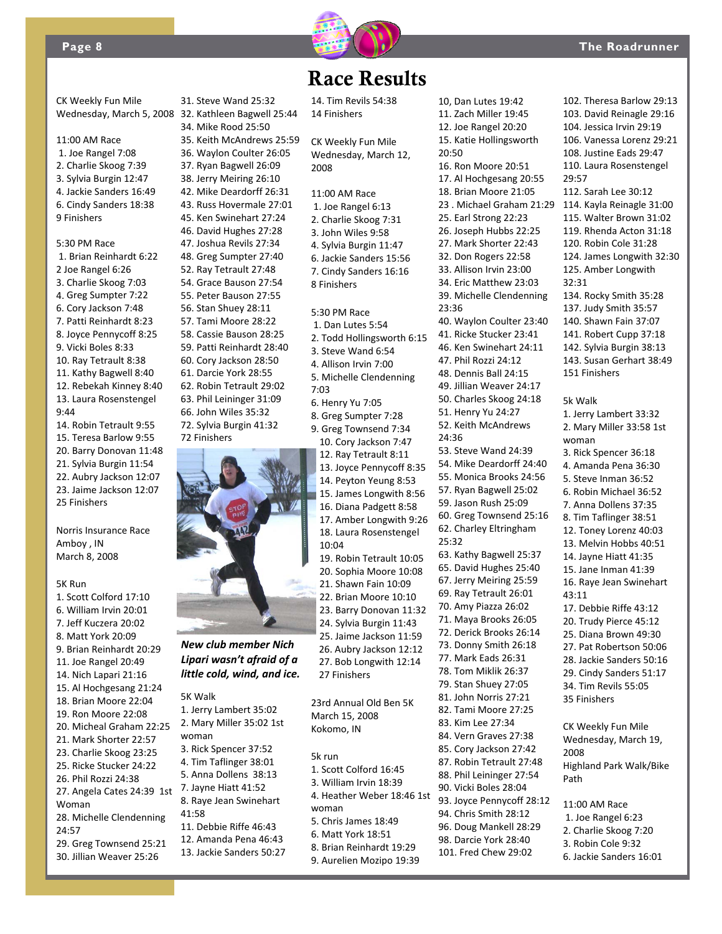

## Race Results

CK Weekly Fun Mile Wednesday, March 5, 2008

- 11:00 AM Race
- 1. Joe Rangel 7:08
- 2. Charlie Skoog 7:39 3. Sylvia Burgin 12:47
- 4. Jackie Sanders 16:49
- 6. Cindy Sanders 18:38
- 9 Finishers

### 5:30 PM Race

- 1. Brian Reinhardt 6:22 2 Joe Rangel 6:26 3. Charlie Skoog 7:03 4. Greg Sumpter 7:22 6. Cory Jackson 7:48 7. Patti Reinhardt 8:23 8. Joyce Pennycoff 8:25 9. Vicki Boles 8:33 10. Ray Tetrault 8:38 11. Kathy Bagwell 8:40 12. Rebekah Kinney 8:40 13. Laura Rosenstengel 9:44 14. Robin Tetrault 9:55
- 15. Teresa Barlow 9:55 20. Barry Donovan 11:48 21. Sylvia Burgin 11:54 22. Aubry Jackson 12:07 23. Jaime Jackson 12:07 25 Finishers

Norris Insurance Race Amboy , IN March 8, 2008

### 5K Run

1. Scott Colford 17:10 6. William Irvin 20:01 7. Jeff Kuczera 20:02 8. Matt York 20:09 9. Brian Reinhardt 20:29 11. Joe Rangel 20:49 14. Nich Lapari 21:16 15. Al Hochgesang 21:24 18. Brian Moore 22:04 19. Ron Moore 22:08 20. Micheal Graham 22:25 21. Mark Shorter 22:57 23. Charlie Skoog 23:25 25. Ricke Stucker 24:22 26. Phil Rozzi 24:38 27. Angela Cates 24:39 1st Woman 28. Michelle Clendenning 24:57 29. Greg Townsend 25:21 30. Jillian Weaver 25:26

32. Kathleen Bagwell 25:44 34. Mike Rood 25:50 35. Keith McAndrews 25:59 36. Waylon Coulter 26:05 37. Ryan Bagwell 26:09 38. Jerry Meiring 26:10 42. Mike Deardorff 26:31 43. Russ Hovermale 27:01 45. Ken Swinehart 27:24 46. David Hughes 27:28 47. Joshua Revils 27:34 48. Greg Sumpter 27:40 52. Ray Tetrault 27:48 54. Grace Bauson 27:54 55. Peter Bauson 27:55 56. Stan Shuey 28:11 57. Tami Moore 28:22 58. Cassie Bauson 28:25 59. Patti Reinhardt 28:40 60. Cory Jackson 28:50 61. Darcie York 28:55 62. Robin Tetrault 29:02 63. Phil Leininger 31:09 66. John Wiles 35:32 72. Sylvia Burgin 41:32 72 Finishers

31. Steve Wand 25:32



### *New club member Nich Lipari wasn't afraid of a little cold, wind, and ice.*

5K Walk 1. Jerry Lambert 35:02 2. Mary Miller 35:02 1st woman 3. Rick Spencer 37:52 4. Tim Taflinger 38:01 5. Anna Dollens 38:13 7. Jayne Hiatt 41:52 8. Raye Jean Swinehart 41:58 11. Debbie Riffe 46:43 12. Amanda Pena 46:43 13. Jackie Sanders 50:27 14. Tim Revils 54:38 14 Finishers

CK Weekly Fun Mile Wednesday, March 12, 2008

11:00 AM Race

1. Joe Rangel 6:13 2. Charlie Skoog 7:31 3. John Wiles 9:58 4. Sylvia Burgin 11:47 6. Jackie Sanders 15:56 7. Cindy Sanders 16:16 8 Finishers

5:30 PM Race 1. Dan Lutes 5:54 2. Todd Hollingsworth 6:15 3. Steve Wand 6:54 4. Allison Irvin 7:00 5. Michelle Clendenning 7:03 6. Henry Yu 7:05 8. Greg Sumpter 7:28 9. Greg Townsend 7:34 10. Cory Jackson 7:47 12. Ray Tetrault 8:11 13. Joyce Pennycoff 8:35 14. Peyton Yeung 8:53 15. James Longwith 8:56 16. Diana Padgett 8:58 17. Amber Longwith 9:26 18. Laura Rosenstengel 10:04 19. Robin Tetrault 10:05 20. Sophia Moore 10:08 21. Shawn Fain 10:09 22. Brian Moore 10:10 23. Barry Donovan 11:32 24. Sylvia Burgin 11:43 25. Jaime Jackson 11:59

26. Aubry Jackson 12:12 27. Bob Longwith 12:14 27 Finishers

23rd Annual Old Ben 5K March 15, 2008 Kokomo, IN

- 5k run
	- 1. Scott Colford 16:45 3. William Irvin 18:39 4. Heather Weber 18:46 1st woman 5. Chris James 18:49 6. Matt York 18:51 8. Brian Reinhardt 19:29
	- 9. Aurelien Mozipo 19:39

10, Dan Lutes 19:42 11. Zach Miller 19:45 12. Joe Rangel 20:20 15. Katie Hollingsworth 20:50 16. Ron Moore 20:51 17. Al Hochgesang 20:55 18. Brian Moore 21:05 23 . Michael Graham 21:29 114. Kayla Reinagle 31:00 25. Earl Strong 22:23 26. Joseph Hubbs 22:25 27. Mark Shorter 22:43 32. Don Rogers 22:58 33. Allison Irvin 23:00 34. Eric Matthew 23:03 39. Michelle Clendenning 23:36 40. Waylon Coulter 23:40 41. Ricke Stucker 23:41 46. Ken Swinehart 24:11 47. Phil Rozzi 24:12 48. Dennis Ball 24:15 49. Jillian Weaver 24:17 50. Charles Skoog 24:18 51. Henry Yu 24:27 52. Keith McAndrews 24:36 53. Steve Wand 24:39 54. Mike Deardorff 24:40 55. Monica Brooks 24:56 57. Ryan Bagwell 25:02 59. Jason Rush 25:09 60. Greg Townsend 25:16 62. Charley Eltringham 25:32 63. Kathy Bagwell 25:37 65. David Hughes 25:40 67. Jerry Meiring 25:59 69. Ray Tetrault 26:01 70. Amy Piazza 26:02 71. Maya Brooks 26:05 72. Derick Brooks 26:14 73. Donny Smith 26:18 77. Mark Eads 26:31 78. Tom Miklik 26:37 79. Stan Shuey 27:05 81. John Norris 27:21 82. Tami Moore 27:25 83. Kim Lee 27:34 84. Vern Graves 27:38 85. Cory Jackson 27:42 87. Robin Tetrault 27:48 88. Phil Leininger 27:54

- 90. Vicki Boles 28:04 93. Joyce Pennycoff 28:12
- 94. Chris Smith 28:12 96. Doug Mankell 28:29
- 98. Darcie York 28:40
- 101. Fred Chew 29:02

102. Theresa Barlow 29:13 103. David Reinagle 29:16 104. Jessica Irvin 29:19 106. Vanessa Lorenz 29:21 108. Justine Eads 29:47 110. Laura Rosenstengel 29:57 112. Sarah Lee 30:12 115. Walter Brown 31:02 119. Rhenda Acton 31:18 120. Robin Cole 31:28 124. James Longwith 32:30 125. Amber Longwith  $32.31$ 134. Rocky Smith 35:28 137. Judy Smith 35:57 140. Shawn Fain 37:07 141. Robert Cupp 37:18 142. Sylvia Burgin 38:13 143. Susan Gerhart 38:49 151 Finishers 5k Walk 1. Jerry Lambert 33:32 2. Mary Miller 33:58 1st woman 3. Rick Spencer 36:18 4. Amanda Pena 36:30 5. Steve Inman 36:52 6. Robin Michael 36:52 7. Anna Dollens 37:35 8. Tim Taflinger 38:51 12. Toney Lorenz 40:03 13. Melvin Hobbs 40:51 14. Jayne Hiatt 41:35 15. Jane Inman 41:39 16. Raye Jean Swinehart 43:11 17. Debbie Riffe 43:12 20. Trudy Pierce 45:12 25. Diana Brown 49:30 27. Pat Robertson 50:06 28. Jackie Sanders 50:16 29. Cindy Sanders 51:17 34. Tim Revils 55:05 35 Finishers CK Weekly Fun Mile Wednesday, March 19, 2008 Highland Park Walk/Bike Path 11:00 AM Race 1. Joe Rangel 6:23

- 2. Charlie Skoog 7:20
- 3. Robin Cole 9:32
- 6. Jackie Sanders 16:01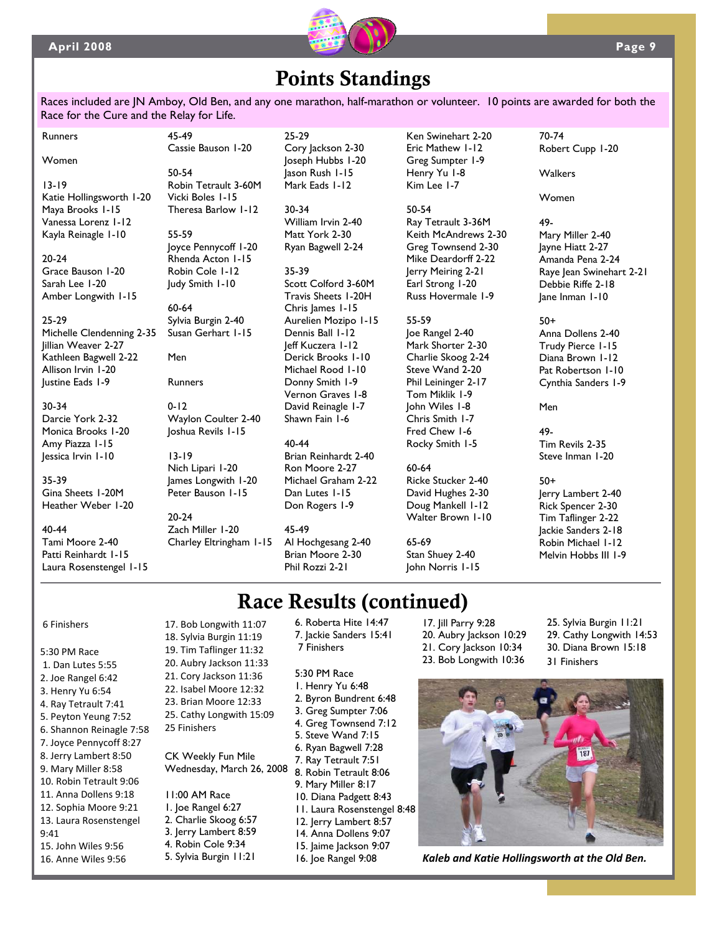

# Points Standings

Races included are JN Amboy, Old Ben, and any one marathon, half-marathon or volunteer. 10 points are awarded for both the Race for the Cure and the Relay for Life.

Runners Women

13-19 Katie Hollingsworth 1-20 Maya Brooks 1-15 Vanessa Lorenz 1-12 Kayla Reinagle 1-10

20-24 Grace Bauson 1-20 Sarah Lee 1-20 Amber Longwith 1-15

### 25-29

Michelle Clendenning 2-35 Jillian Weaver 2-27 Kathleen Bagwell 2-22 Allison Irvin 1-20 Justine Eads 1-9

### 30-34

Darcie York 2-32 Monica Brooks 1-20 Amy Piazza 1-15 Jessica Irvin 1-10

### 35-39

Gina Sheets 1-20M Heather Weber 1-20

### 40-44

Tami Moore 2-40 Patti Reinhardt 1-15 Laura Rosenstengel 1-15 50-54 Robin Tetrault 3-60M Vicki Boles 1-15 Theresa Barlow 1-12

Cassie Bauson 1-20

45-49

55-59 Joyce Pennycoff 1-20 Rhenda Acton 1-15 Robin Cole 1-12 Judy Smith 1-10

60-64 Sylvia Burgin 2-40 Susan Gerhart 1-15

Men

Runners

0-12 Waylon Coulter 2-40 Joshua Revils 1-15

13-19 Nich Lipari 1-20 James Longwith 1-20 Peter Bauson 1-15

20-24 Zach Miller 1-20 Charley Eltringham 1-15 25-29 Cory Jackson 2-30 Joseph Hubbs 1-20 Jason Rush 1-15 Mark Eads 1-12

30-34 William Irvin 2-40 Matt York 2-30 Ryan Bagwell 2-24

35-39 Scott Colford 3-60M Travis Sheets 1-20H Chris James 1-15 Aurelien Mozipo 1-15 Dennis Ball 1-12 Jeff Kuczera 1-12 Derick Brooks 1-10 Michael Rood 1-10 Donny Smith 1-9 Vernon Graves 1-8 David Reinagle 1-7 Shawn Fain 1-6

### 40-44

Brian Reinhardt 2-40 Ron Moore 2-27 Michael Graham 2-22 Dan Lutes 1-15 Don Rogers 1-9

45-49 Al Hochgesang 2-40 Brian Moore 2-30 Phil Rozzi 2-21

Ken Swinehart 2-20 Eric Mathew 1-12 Greg Sumpter 1-9 Henry Yu 1-8 Kim Lee 1-7

### 50-54

Ray Tetrault 3-36M Keith McAndrews 2-30 Greg Townsend 2-30 Mike Deardorff 2-22 Jerry Meiring 2-21 Earl Strong 1-20 Russ Hovermale 1-9

### 55-59

Joe Rangel 2-40 Mark Shorter 2-30 Charlie Skoog 2-24 Steve Wand 2-20 Phil Leininger 2-17 Tom Miklik 1-9 John Wiles 1-8 Chris Smith 1-7 Fred Chew 1-6 Rocky Smith 1-5

### 60-64

Ricke Stucker 2-40 David Hughes 2-30 Doug Mankell 1-12 Walter Brown 1-10

### 65-69

Stan Shuey 2-40 John Norris 1-15 70-74 Robert Cupp 1-20

### Walkers

Women

49- Mary Miller 2-40 Jayne Hiatt 2-27 Amanda Pena 2-24 Raye Jean Swinehart 2-21 Debbie Riffe 2-18 Jane Inman 1-10

### 50+

Anna Dollens 2-40 Trudy Pierce 1-15 Diana Brown 1-12 Pat Robertson 1-10 Cynthia Sanders 1-9

Men

49- Tim Revils 2-35 Steve Inman 1-20

### 50+ Jerry Lambert 2-40 Rick Spencer 2-30 Tim Taflinger 2-22 Jackie Sanders 2-18 Robin Michael 1-12 Melvin Hobbs III 1-9

Race Results (continued)

6 Finishers

- 5:30 PM Race 1. Dan Lutes 5:55 2. Joe Rangel 6:42 3. Henry Yu 6:54 4. Ray Tetrault 7:41 5. Peyton Yeung 7:52 6. Shannon Reinagle 7:58 7. Joyce Pennycoff 8:27 8. Jerry Lambert 8:50 9. Mary Miller 8:58 10. Robin Tetrault 9:06 11. Anna Dollens 9:18
- 
- 12. Sophia Moore 9:21
- 13. Laura Rosenstengel
- 9:41
- 15. John Wiles 9:56 16. Anne Wiles 9:56
- 18. Sylvia Burgin 11:19 19. Tim Taflinger 11:32 20. Aubry Jackson 11:33 21. Cory Jackson 11:36 22. Isabel Moore 12:32 23. Brian Moore 12:33 25. Cathy Longwith 15:09 25 Finishers CK Weekly Fun Mile

17. Bob Longwith 11:07

Wednesday, March 26, 2008

- 11:00 AM Race 1. Joe Rangel 6:27 2. Charlie Skoog 6:57 3. Jerry Lambert 8:59
- 4. Robin Cole 9:34
- 5. Sylvia Burgin 11:21

6. Roberta Hite 14:47 7. Jackie Sanders 15:41 7 Finishers

### 5:30 PM Race

- 1. Henry Yu 6:48 2. Byron Bundrent 6:48 3. Greg Sumpter 7:06 4. Greg Townsend 7:12 5. Steve Wand 7:15 6. Ryan Bagwell 7:28 7. Ray Tetrault 7:51 8. Robin Tetrault 8:06
- 9. Mary Miller 8:17
- 10. Diana Padgett 8:43
- 11. Laura Rosenstengel 8:48
- 12. Jerry Lambert 8:57
- 14. Anna Dollens 9:07
- 15. Jaime Jackson 9:07
- 16. Joe Rangel 9:08
- 17. Jill Parry 9:28 20. Aubry Jackson 10:29 21. Cory Jackson 10:34 23. Bob Longwith 10:36
- 25. Sylvia Burgin 11:21 29. Cathy Longwith 14:53 30. Diana Brown 15:18 31 Finishers



*Kaleb and Katie Hollingsworth at the Old Ben.*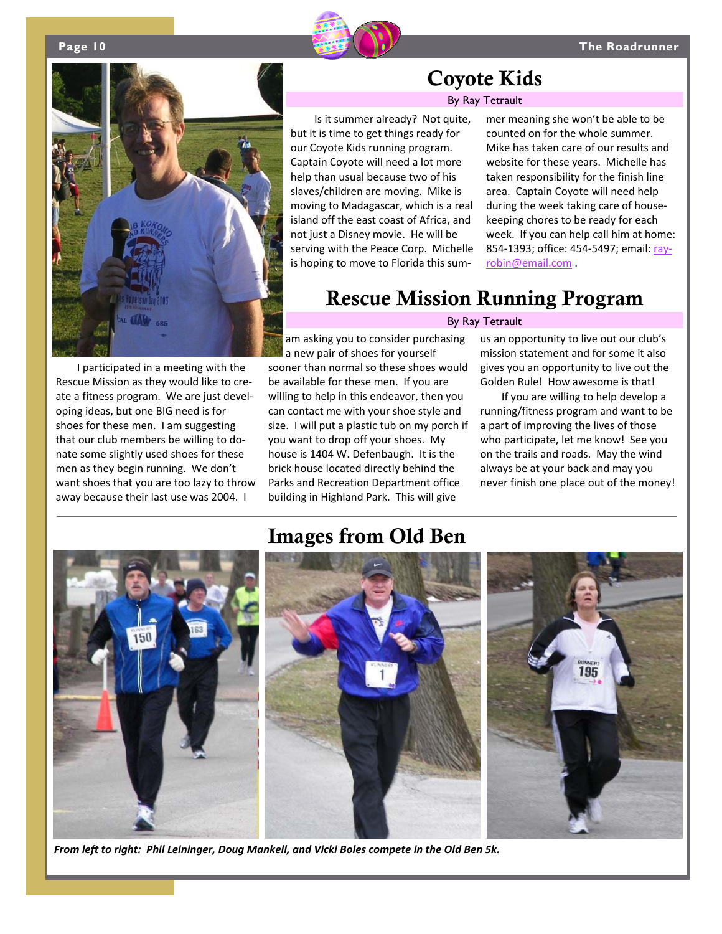



I participated in a meeting with the Rescue Mission as they would like to cre‐ ate a fitness program. We are just devel‐ oping ideas, but one BIG need is for shoes for these men. I am suggesting that our club members be willing to do‐ nate some slightly used shoes for these men as they begin running. We don't want shoes that you are too lazy to throw away because their last use was 2004. I

## Coyote Kids

### By Ray Tetrault

Is it summer already? Not quite, but it is time to get things ready for our Coyote Kids running program. Captain Coyote will need a lot more help than usual because two of his slaves/children are moving. Mike is moving to Madagascar, which is a real island off the east coast of Africa, and not just a Disney movie. He will be serving with the Peace Corp. Michelle is hoping to move to Florida this sum‐

mer meaning she won't be able to be counted on for the whole summer. Mike has taken care of our results and website for these years. Michelle has taken responsibility for the finish line area. Captain Coyote will need help during the week taking care of house‐ keeping chores to be ready for each week. If you can help call him at home: 854‐1393; office: 454‐5497; email: ray‐ robin@email.com .

## Rescue Mission Running Program

### By Ray Tetrault

am asking you to consider purchasing a new pair of shoes for yourself sooner than normal so these shoes would be available for these men. If you are willing to help in this endeavor, then you can contact me with your shoe style and size. I will put a plastic tub on my porch if you want to drop off your shoes. My house is 1404 W. Defenbaugh. It is the brick house located directly behind the Parks and Recreation Department office building in Highland Park. This will give

us an opportunity to live out our club's mission statement and for some it also gives you an opportunity to live out the Golden Rule! How awesome is that!

If you are willing to help develop a running/fitness program and want to be a part of improving the lives of those who participate, let me know! See you on the trails and roads. May the wind always be at your back and may you never finish one place out of the money!



*From left to right: Phil Leininger, Doug Mankell, and Vicki Boles compete in the Old Ben 5k.*